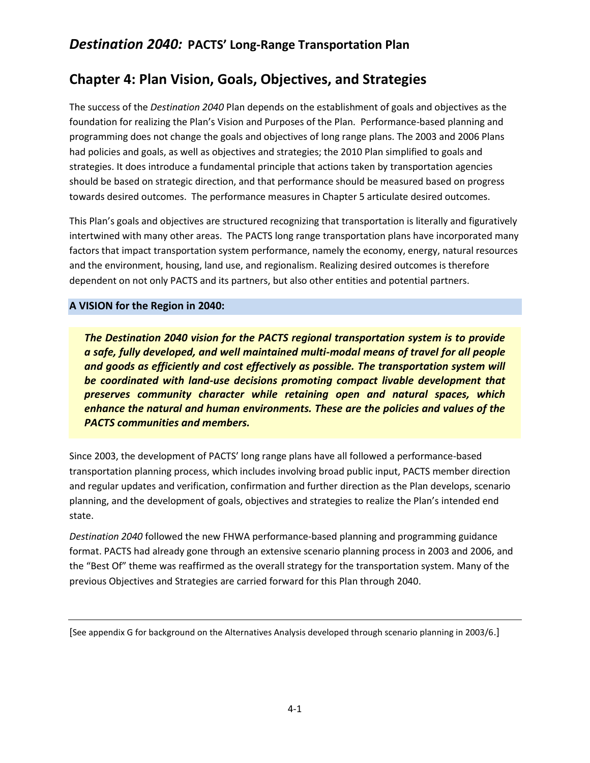# **Chapter 4: Plan Vision, Goals, Objectives, and Strategies**

The success of the *Destination 2040* Plan depends on the establishment of goals and objectives as the foundation for realizing the Plan's Vision and Purposes of the Plan. Performance-based planning and programming does not change the goals and objectives of long range plans. The 2003 and 2006 Plans had policies and goals, as well as objectives and strategies; the 2010 Plan simplified to goals and strategies. It does introduce a fundamental principle that actions taken by transportation agencies should be based on strategic direction, and that performance should be measured based on progress towards desired outcomes. The performance measures in Chapter 5 articulate desired outcomes.

This Plan's goals and objectives are structured recognizing that transportation is literally and figuratively intertwined with many other areas. The PACTS long range transportation plans have incorporated many factors that impact transportation system performance, namely the economy, energy, natural resources and the environment, housing, land use, and regionalism. Realizing desired outcomes is therefore dependent on not only PACTS and its partners, but also other entities and potential partners.

### **A VISION for the Region in 2040:**

*The Destination 2040 vision for the PACTS regional transportation system is to provide a safe, fully developed, and well maintained multi-modal means of travel for all people and goods as efficiently and cost effectively as possible. The transportation system will be coordinated with land-use decisions promoting compact livable development that preserves community character while retaining open and natural spaces, which enhance the natural and human environments. These are the policies and values of the PACTS communities and members.* 

Since 2003, the development of PACTS' long range plans have all followed a performance-based transportation planning process, which includes involving broad public input, PACTS member direction and regular updates and verification, confirmation and further direction as the Plan develops, scenario planning, and the development of goals, objectives and strategies to realize the Plan's intended end state.

*Destination 2040* followed the new FHWA performance-based planning and programming guidance format. PACTS had already gone through an extensive scenario planning process in 2003 and 2006, and the "Best Of" theme was reaffirmed as the overall strategy for the transportation system. Many of the previous Objectives and Strategies are carried forward for this Plan through 2040.

<sup>[</sup>See appendix G for background on the Alternatives Analysis developed through scenario planning in 2003/6.]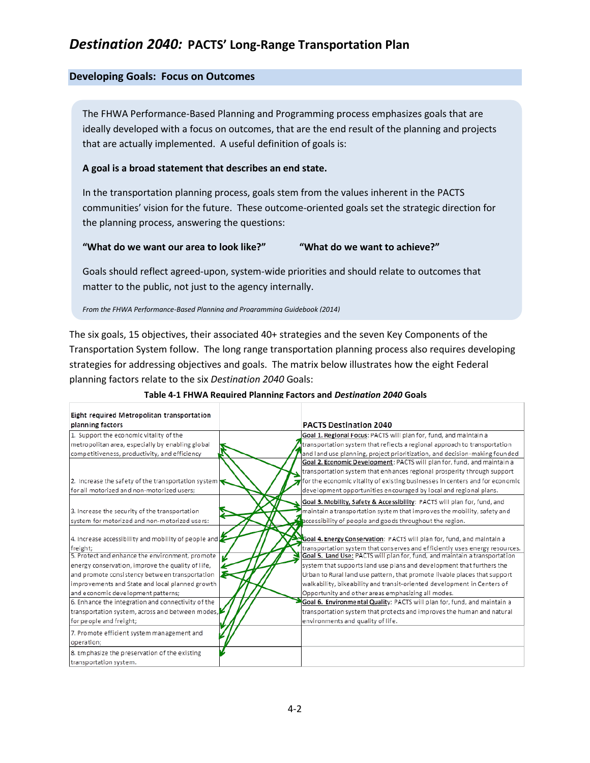### **Developing Goals: Focus on Outcomes**

Fight required Metropolitan transportation

The FHWA Performance-Based Planning and Programming process emphasizes goals that are ideally developed with a focus on outcomes, that are the end result of the planning and projects that are actually implemented. A useful definition of goals is:

#### **A goal is a broad statement that describes an end state.**

In the transportation planning process, goals stem from the values inherent in the PACTS communities' vision for the future. These outcome-oriented goals set the strategic direction for the planning process, answering the questions:

#### **"What do we want our area to look like?" "What do we want to achieve?"**

Goals should reflect agreed-upon, system-wide priorities and should relate to outcomes that matter to the public, not just to the agency internally.

*From the FHWA Performance-Based Planning and Programming Guidebook (2014)*

The six goals, 15 objectives, their associated 40+ strategies and the seven Key Components of the Transportation System follow. The long range transportation planning process also requires developing strategies for addressing objectives and goals. The matrix below illustrates how the eight Federal planning factors relate to the six *Destination 2040* Goals:

| Light required intetropolitan transportation                     |                                                                           |                                                                              |
|------------------------------------------------------------------|---------------------------------------------------------------------------|------------------------------------------------------------------------------|
| planning factors                                                 | <b>PACTS Destination 2040</b>                                             |                                                                              |
| 1. Support the economic vitality of the                          |                                                                           | Goal 1. Regional Focus: PACTS will plan for, fund, and maintain a            |
| metropolitan area, especially by enabling global                 |                                                                           | transportation system that reflects a regional approach to transportation    |
| competitiveness, productivity, and efficiency                    |                                                                           | and land use planning, project prioritization, and decision-making founded   |
|                                                                  |                                                                           | Goal 2. Economic Development: PACTS will plan for, fund, and maintain a      |
|                                                                  |                                                                           | transportation system that enhances regional prosperity through support      |
| 2. Increase the safety of the transportation system              |                                                                           | for the economic vitality of existing businesses in centers and for economic |
| for all motorized and non-motorized users;                       |                                                                           | development opportunities encouraged by local and regional plans.            |
|                                                                  |                                                                           | Goal 3. Mobility, Safety & Accessibility: PACTS will plan for, fund, and     |
| 3. Increase the security of the transportation                   |                                                                           | maintain a transportation system that improves the mobility, safety and      |
| system for motorized and non-motorized users:                    |                                                                           | accessibility of people and goods throughout the region.                     |
|                                                                  |                                                                           |                                                                              |
| 4. Increase accessibility and mobility of people and $\mathbb Z$ |                                                                           | Goal 4. Energy Conservation: PACTS will plan for, fund, and maintain a       |
| freight;                                                         |                                                                           | transportation system that conserves and efficiently uses energy resources.  |
| 5. Protect and enhance the environment, promote                  |                                                                           | Goal 5. Land Use: PACTS will plan for, fund, and maintain a transportation   |
| energy conservation, improve the quality of life,                |                                                                           | system that supports land use plans and development that furthers the        |
| and promote consistency between transportation                   | Urban to Rural land use pattern, that promote livable places that support |                                                                              |
| improvements and State and local planned growth                  |                                                                           | walkability, bikeability and transit-oriented development in Centers of      |
| and economic development patterns;                               |                                                                           | Opportunity and other areas emphasizing all modes.                           |
| 6. Enhance the integration and connectivity of the               |                                                                           | Goal 6. Environmental Quality: PACTS will plan for, fund, and maintain a     |
| transportation system, across and between modes,                 |                                                                           | transportation system that protects and improves the human and natural       |
| for people and freight;                                          |                                                                           | environments and quality of life.                                            |
| 7. Promote efficient system management and                       |                                                                           |                                                                              |
| operation;                                                       |                                                                           |                                                                              |
| 8. Emphasize the preservation of the existing                    |                                                                           |                                                                              |
| transportation system.                                           |                                                                           |                                                                              |

### **Table 4-1 FHWA Required Planning Factors and** *Destination 2040* **Goals**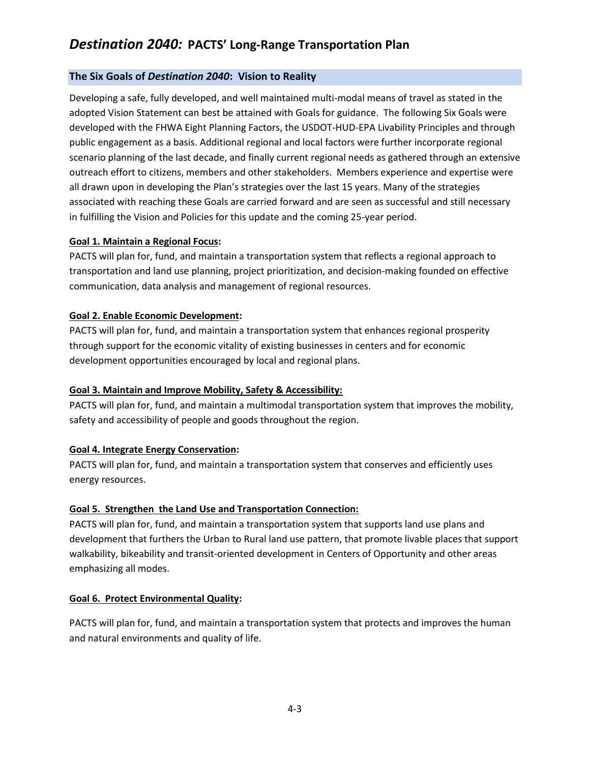### **The Six Goals of** *Destination 2040***: Vision to Reality**

Developing a safe, fully developed, and well maintained multi-modal means of travel as stated in the adopted Vision Statement can best be attained with Goals for guidance. The following Six Goals were developed with the FHWA Eight Planning Factors, the USDOT-HUD-EPA Livability Principles and through public engagement as a basis. Additional regional and local factors were further incorporate regional scenario planning of the last decade, and finally current regional needs as gathered through an extensive outreach effort to citizens, members and other stakeholders. Members experience and expertise were all drawn upon in developing the Plan's strategies over the last 15 years. Many of the strategies associated with reaching these Goals are carried forward and are seen as successful and still necessary in fulfilling the Vision and Policies for this update and the coming 25-year period.

### **Goal 1. Maintain a Regional Focus:**

PACTS will plan for, fund, and maintain a transportation system that reflects a regional approach to transportation and land use planning, project prioritization, and decision-making founded on effective communication, data analysis and management of regional resources.

### **Goal 2. Enable Economic Development:**

PACTS will plan for, fund, and maintain a transportation system that enhances regional prosperity through support for the economic vitality of existing businesses in centers and for economic development opportunities encouraged by local and regional plans.

### **Goal 3. Maintain and Improve Mobility, Safety & Accessibility:**

PACTS will plan for, fund, and maintain a multimodal transportation system that improves the mobility, safety and accessibility of people and goods throughout the region.

### **Goal 4. Integrate Energy Conservation:**

PACTS will plan for, fund, and maintain a transportation system that conserves and efficiently uses energy resources.

### **Goal 5. Strengthen the Land Use and Transportation Connection:**

PACTS will plan for, fund, and maintain a transportation system that supports land use plans and development that furthers the Urban to Rural land use pattern, that promote livable places that support walkability, bikeability and transit-oriented development in Centers of Opportunity and other areas emphasizing all modes.

### **Goal 6. Protect Environmental Quality:**

PACTS will plan for, fund, and maintain a transportation system that protects and improves the human and natural environments and quality of life.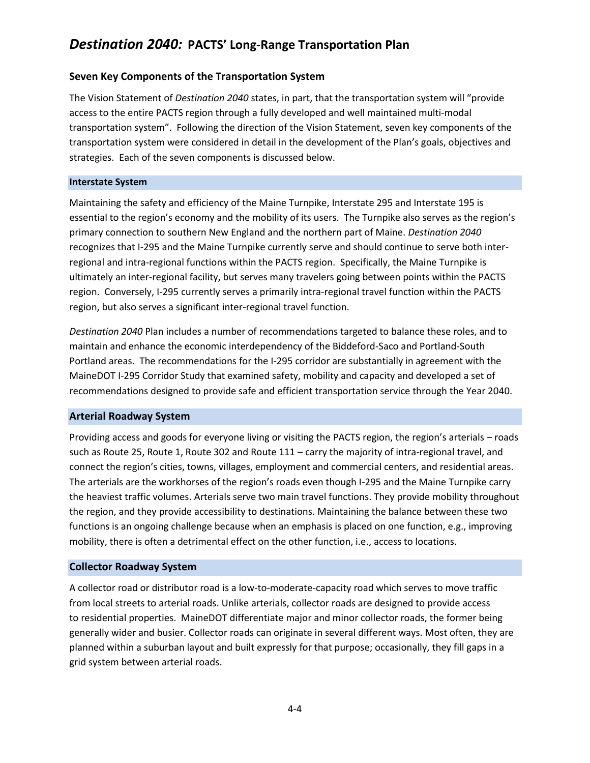### **Seven Key Components of the Transportation System**

The Vision Statement of *Destination 2040* states, in part, that the transportation system will "provide access to the entire PACTS region through a fully developed and well maintained multi-modal transportation system". Following the direction of the Vision Statement, seven key components of the transportation system were considered in detail in the development of the Plan's goals, objectives and strategies. Each of the seven components is discussed below.

#### **Interstate System**

Maintaining the safety and efficiency of the Maine Turnpike, Interstate 295 and Interstate 195 is essential to the region's economy and the mobility of its users. The Turnpike also serves as the region's primary connection to southern New England and the northern part of Maine. *Destination 2040* recognizes that I-295 and the Maine Turnpike currently serve and should continue to serve both interregional and intra-regional functions within the PACTS region. Specifically, the Maine Turnpike is ultimately an inter-regional facility, but serves many travelers going between points within the PACTS region. Conversely, I-295 currently serves a primarily intra-regional travel function within the PACTS region, but also serves a significant inter-regional travel function.

*Destination 2040* Plan includes a number of recommendations targeted to balance these roles, and to maintain and enhance the economic interdependency of the Biddeford-Saco and Portland-South Portland areas. The recommendations for the I-295 corridor are substantially in agreement with the MaineDOT I-295 Corridor Study that examined safety, mobility and capacity and developed a set of recommendations designed to provide safe and efficient transportation service through the Year 2040.

### **Arterial Roadway System**

Providing access and goods for everyone living or visiting the PACTS region, the region's arterials – roads such as Route 25, Route 1, Route 302 and Route 111 – carry the majority of intra-regional travel, and connect the region's cities, towns, villages, employment and commercial centers, and residential areas. The arterials are the workhorses of the region's roads even though I-295 and the Maine Turnpike carry the heaviest traffic volumes. Arterials serve two main travel functions. They provide mobility throughout the region, and they provide accessibility to destinations. Maintaining the balance between these two functions is an ongoing challenge because when an emphasis is placed on one function, e.g., improving mobility, there is often a detrimental effect on the other function, i.e., access to locations.

### **Collector Roadway System**

A collector road or distributor road is a low-to-moderate-capacity road which serves to move traffic from local streets to arterial roads. Unlike arterials, collector roads are designed to provide access to residential properties. MaineDOT differentiate major and minor collector roads, the former being generally wider and busier. Collector roads can originate in several different ways. Most often, they are planned within a suburban layout and built expressly for that purpose; occasionally, they fill gaps in a grid system between arterial roads.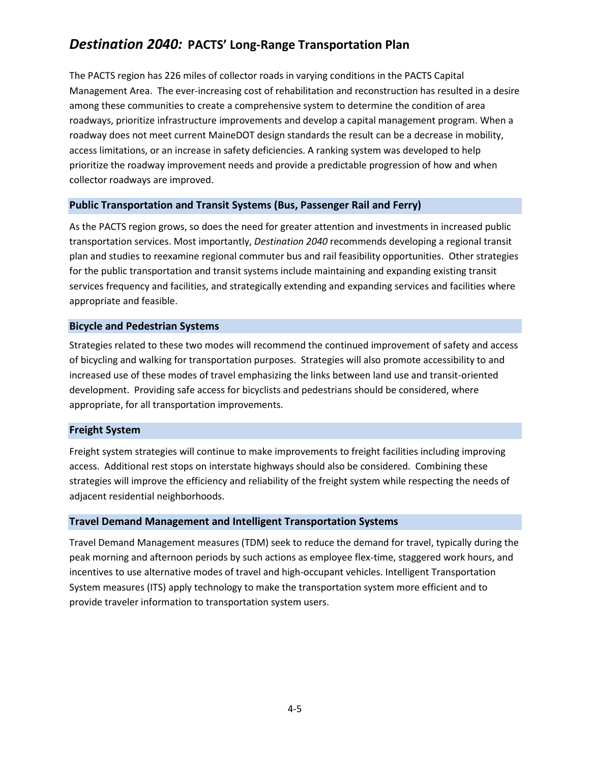The PACTS region has 226 miles of collector roads in varying conditions in the PACTS Capital Management Area. The ever-increasing cost of rehabilitation and reconstruction has resulted in a desire among these communities to create a comprehensive system to determine the condition of area roadways, prioritize infrastructure improvements and develop a capital management program. When a roadway does not meet current MaineDOT design standards the result can be a decrease in mobility, access limitations, or an increase in safety deficiencies. A ranking system was developed to help prioritize the roadway improvement needs and provide a predictable progression of how and when collector roadways are improved.

### **Public Transportation and Transit Systems (Bus, Passenger Rail and Ferry)**

As the PACTS region grows, so does the need for greater attention and investments in increased public transportation services. Most importantly, *Destination 2040* recommends developing a regional transit plan and studies to reexamine regional commuter bus and rail feasibility opportunities. Other strategies for the public transportation and transit systems include maintaining and expanding existing transit services frequency and facilities, and strategically extending and expanding services and facilities where appropriate and feasible.

#### **Bicycle and Pedestrian Systems**

Strategies related to these two modes will recommend the continued improvement of safety and access of bicycling and walking for transportation purposes. Strategies will also promote accessibility to and increased use of these modes of travel emphasizing the links between land use and transit-oriented development. Providing safe access for bicyclists and pedestrians should be considered, where appropriate, for all transportation improvements.

### **Freight System**

Freight system strategies will continue to make improvements to freight facilities including improving access. Additional rest stops on interstate highways should also be considered. Combining these strategies will improve the efficiency and reliability of the freight system while respecting the needs of adjacent residential neighborhoods.

#### **Travel Demand Management and Intelligent Transportation Systems**

Travel Demand Management measures (TDM) seek to reduce the demand for travel, typically during the peak morning and afternoon periods by such actions as employee flex-time, staggered work hours, and incentives to use alternative modes of travel and high-occupant vehicles. Intelligent Transportation System measures (ITS) apply technology to make the transportation system more efficient and to provide traveler information to transportation system users.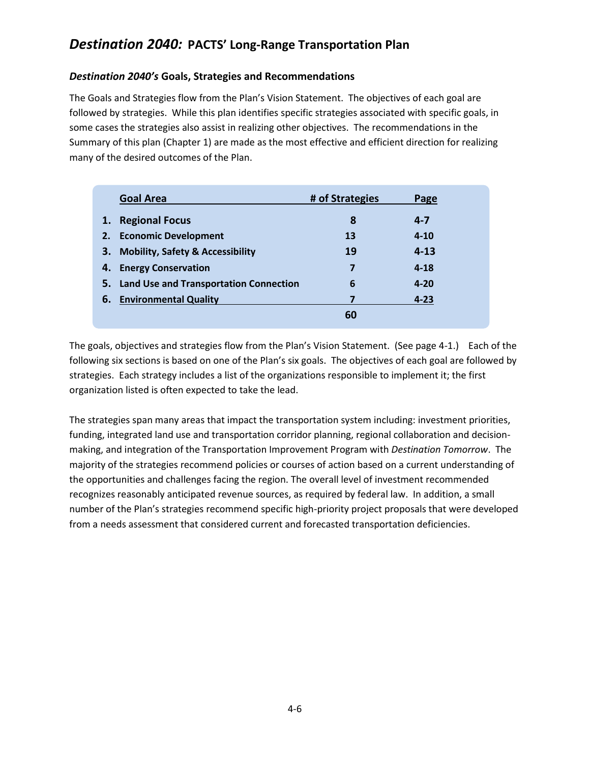### *Destination 2040's* **Goals, Strategies and Recommendations**

The Goals and Strategies flow from the Plan's Vision Statement. The objectives of each goal are followed by strategies. While this plan identifies specific strategies associated with specific goals, in some cases the strategies also assist in realizing other objectives. The recommendations in the Summary of this plan (Chapter 1) are made as the most effective and efficient direction for realizing many of the desired outcomes of the Plan.

|    | <b>Goal Area</b>                            | # of Strategies | Page     |
|----|---------------------------------------------|-----------------|----------|
| 1. | <b>Regional Focus</b>                       | 8               | $4 - 7$  |
| 2. | <b>Economic Development</b>                 | 13              | $4 - 10$ |
| 3. | <b>Mobility, Safety &amp; Accessibility</b> | 19              | $4 - 13$ |
|    | 4. Energy Conservation                      | 7               | $4 - 18$ |
|    | 5. Land Use and Transportation Connection   | 6               | $4 - 20$ |
| 6. | <b>Environmental Quality</b>                |                 | $4 - 23$ |
|    |                                             | 60              |          |

The goals, objectives and strategies flow from the Plan's Vision Statement. (See page 4-1.) Each of the following six sections is based on one of the Plan's six goals. The objectives of each goal are followed by strategies. Each strategy includes a list of the organizations responsible to implement it; the first organization listed is often expected to take the lead.

The strategies span many areas that impact the transportation system including: investment priorities, funding, integrated land use and transportation corridor planning, regional collaboration and decisionmaking, and integration of the Transportation Improvement Program with *Destination Tomorrow*. The majority of the strategies recommend policies or courses of action based on a current understanding of the opportunities and challenges facing the region. The overall level of investment recommended recognizes reasonably anticipated revenue sources, as required by federal law. In addition, a small number of the Plan's strategies recommend specific high-priority project proposals that were developed from a needs assessment that considered current and forecasted transportation deficiencies.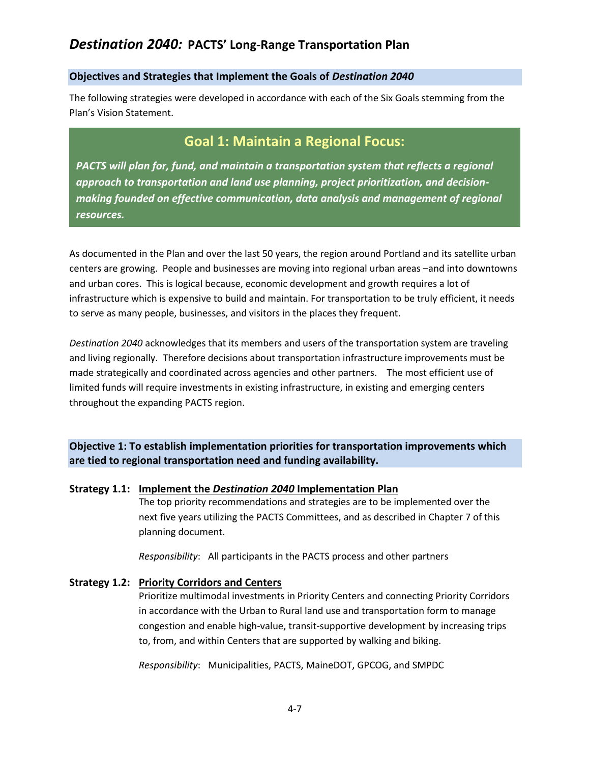### **Objectives and Strategies that Implement the Goals of** *Destination 2040*

The following strategies were developed in accordance with each of the Six Goals stemming from the Plan's Vision Statement.

# **Goal 1: Maintain a Regional Focus:**

*PACTS will plan for, fund, and maintain a transportation system that reflects a regional approach to transportation and land use planning, project prioritization, and decisionmaking founded on effective communication, data analysis and management of regional resources.*

As documented in the Plan and over the last 50 years, the region around Portland and its satellite urban centers are growing. People and businesses are moving into regional urban areas –and into downtowns and urban cores. This is logical because, economic development and growth requires a lot of infrastructure which is expensive to build and maintain. For transportation to be truly efficient, it needs to serve as many people, businesses, and visitors in the places they frequent.

*Destination 2040* acknowledges that its members and users of the transportation system are traveling and living regionally. Therefore decisions about transportation infrastructure improvements must be made strategically and coordinated across agencies and other partners. The most efficient use of limited funds will require investments in existing infrastructure, in existing and emerging centers throughout the expanding PACTS region.

**Objective 1: To establish implementation priorities for transportation improvements which are tied to regional transportation need and funding availability.**

### **Strategy 1.1: Implement the** *Destination 2040* **Implementation Plan**

The top priority recommendations and strategies are to be implemented over the next five years utilizing the PACTS Committees, and as described in Chapter 7 of this planning document.

*Responsibility*: All participants in the PACTS process and other partners

### **Strategy 1.2: Priority Corridors and Centers**

Prioritize multimodal investments in Priority Centers and connecting Priority Corridors in accordance with the Urban to Rural land use and transportation form to manage congestion and enable high-value, transit-supportive development by increasing trips to, from, and within Centers that are supported by walking and biking.

*Responsibility*: Municipalities, PACTS, MaineDOT, GPCOG, and SMPDC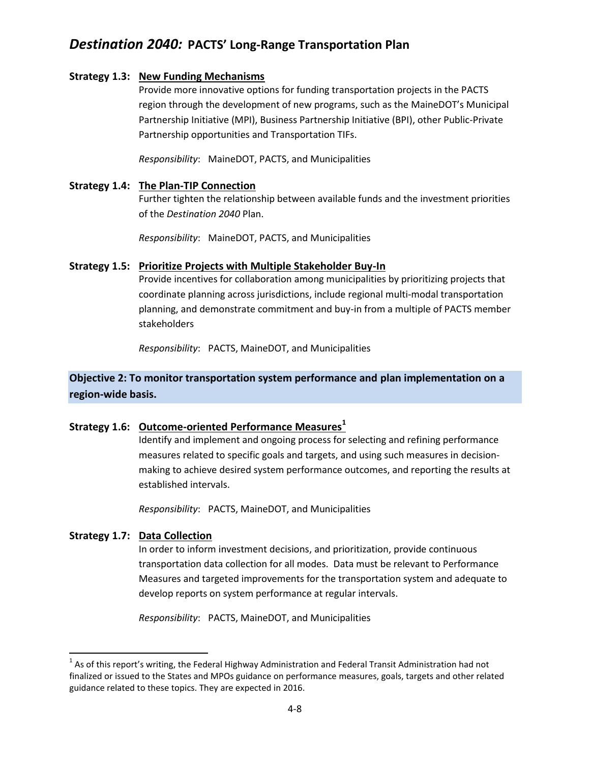### **Strategy 1.3: New Funding Mechanisms**

Provide more innovative options for funding transportation projects in the PACTS region through the development of new programs, such as the MaineDOT's Municipal Partnership Initiative (MPI), Business Partnership Initiative (BPI), other Public-Private Partnership opportunities and Transportation TIFs.

*Responsibility*: MaineDOT, PACTS, and Municipalities

### **Strategy 1.4: The Plan-TIP Connection**

Further tighten the relationship between available funds and the investment priorities of the *Destination 2040* Plan.

*Responsibility*: MaineDOT, PACTS, and Municipalities

### **Strategy 1.5: Prioritize Projects with Multiple Stakeholder Buy-In**

Provide incentives for collaboration among municipalities by prioritizing projects that coordinate planning across jurisdictions, include regional multi-modal transportation planning, and demonstrate commitment and buy-in from a multiple of PACTS member stakeholders

*Responsibility*: PACTS, MaineDOT, and Municipalities

## **Objective 2: To monitor transportation system performance and plan implementation on a region-wide basis.**

### **Strategy 1.6: Outcome-oriented Performance Measures<sup>1</sup>**

Identify and implement and ongoing process for selecting and refining performance measures related to specific goals and targets, and using such measures in decisionmaking to achieve desired system performance outcomes, and reporting the results at established intervals.

*Responsibility*: PACTS, MaineDOT, and Municipalities

### **Strategy 1.7: Data Collection**

 $\overline{\phantom{a}}$ 

In order to inform investment decisions, and prioritization, provide continuous transportation data collection for all modes. Data must be relevant to Performance Measures and targeted improvements for the transportation system and adequate to develop reports on system performance at regular intervals.

*Responsibility*: PACTS, MaineDOT, and Municipalities

 $^{1}$  As of this report's writing, the Federal Highway Administration and Federal Transit Administration had not finalized or issued to the States and MPOs guidance on performance measures, goals, targets and other related guidance related to these topics. They are expected in 2016.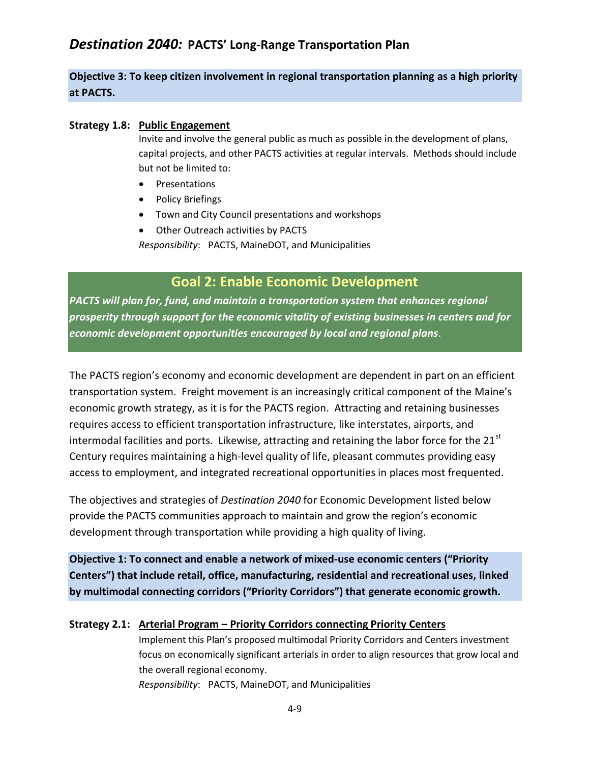## **Objective 3: To keep citizen involvement in regional transportation planning as a high priority at PACTS.**

#### **Strategy 1.8: Public Engagement**

Invite and involve the general public as much as possible in the development of plans, capital projects, and other PACTS activities at regular intervals. Methods should include but not be limited to:

- Presentations
- Policy Briefings
- Town and City Council presentations and workshops
- Other Outreach activities by PACTS

*Responsibility*: PACTS, MaineDOT, and Municipalities

## **Goal 2: Enable Economic Development**

*PACTS will plan for, fund, and maintain a transportation system that enhances regional prosperity through support for the economic vitality of existing businesses in centers and for economic development opportunities encouraged by local and regional plans*.

The PACTS region's economy and economic development are dependent in part on an efficient transportation system. Freight movement is an increasingly critical component of the Maine's economic growth strategy, as it is for the PACTS region. Attracting and retaining businesses requires access to efficient transportation infrastructure, like interstates, airports, and intermodal facilities and ports. Likewise, attracting and retaining the labor force for the  $21<sup>st</sup>$ Century requires maintaining a high-level quality of life, pleasant commutes providing easy access to employment, and integrated recreational opportunities in places most frequented.

The objectives and strategies of *Destination 2040* for Economic Development listed below provide the PACTS communities approach to maintain and grow the region's economic development through transportation while providing a high quality of living.

**Objective 1: To connect and enable a network of mixed-use economic centers ("Priority Centers") that include retail, office, manufacturing, residential and recreational uses, linked by multimodal connecting corridors ("Priority Corridors") that generate economic growth.**

### **Strategy 2.1: Arterial Program – Priority Corridors connecting Priority Centers**

Implement this Plan's proposed multimodal Priority Corridors and Centers investment focus on economically significant arterials in order to align resources that grow local and the overall regional economy.

*Responsibility*: PACTS, MaineDOT, and Municipalities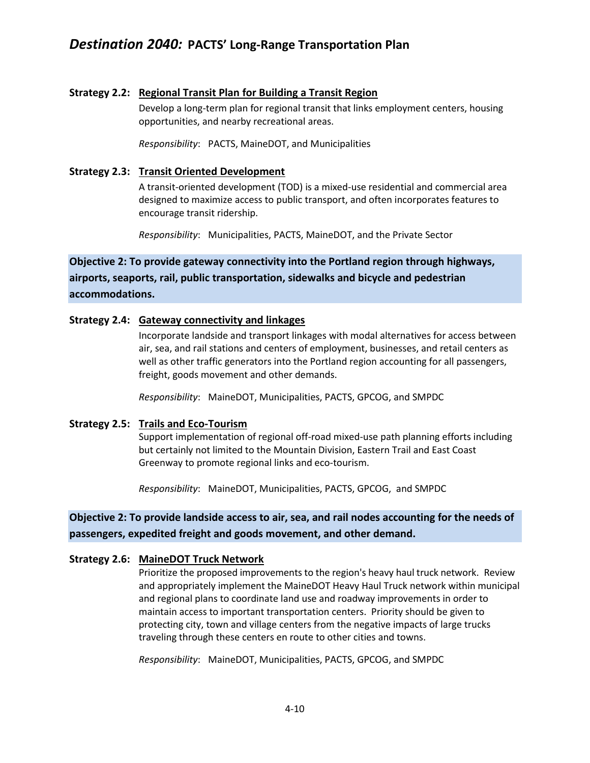### **Strategy 2.2: Regional Transit Plan for Building a Transit Region**

Develop a long-term plan for regional transit that links employment centers, housing opportunities, and nearby recreational areas.

*Responsibility*: PACTS, MaineDOT, and Municipalities

### **Strategy 2.3: Transit Oriented Development**

A transit-oriented development (TOD) is a mixed-use residential and commercial area designed to maximize access to public transport, and often incorporates features to encourage transit ridership.

*Responsibility*: Municipalities, PACTS, MaineDOT, and the Private Sector

## **Objective 2: To provide gateway connectivity into the Portland region through highways, airports, seaports, rail, public transportation, sidewalks and bicycle and pedestrian accommodations.**

### **Strategy 2.4: Gateway connectivity and linkages**

Incorporate landside and transport linkages with modal alternatives for access between air, sea, and rail stations and centers of employment, businesses, and retail centers as well as other traffic generators into the Portland region accounting for all passengers, freight, goods movement and other demands.

*Responsibility*: MaineDOT, Municipalities, PACTS, GPCOG, and SMPDC

### **Strategy 2.5: Trails and Eco-Tourism**

Support implementation of regional off-road mixed-use path planning efforts including but certainly not limited to the Mountain Division, Eastern Trail and East Coast Greenway to promote regional links and eco-tourism.

*Responsibility*: MaineDOT, Municipalities, PACTS, GPCOG, and SMPDC

### **Objective 2: To provide landside access to air, sea, and rail nodes accounting for the needs of passengers, expedited freight and goods movement, and other demand.**

### **Strategy 2.6: MaineDOT Truck Network**

Prioritize the proposed improvements to the region's heavy haul truck network. Review and appropriately implement the MaineDOT Heavy Haul Truck network within municipal and regional plans to coordinate land use and roadway improvements in order to maintain access to important transportation centers. Priority should be given to protecting city, town and village centers from the negative impacts of large trucks traveling through these centers en route to other cities and towns.

*Responsibility*: MaineDOT, Municipalities, PACTS, GPCOG, and SMPDC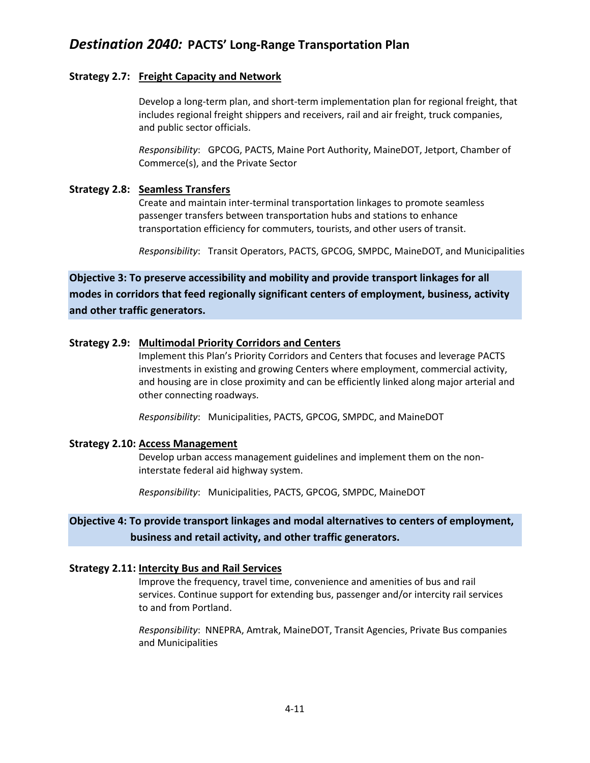### **Strategy 2.7: Freight Capacity and Network**

Develop a long-term plan, and short-term implementation plan for regional freight, that includes regional freight shippers and receivers, rail and air freight, truck companies, and public sector officials.

*Responsibility*: GPCOG, PACTS, Maine Port Authority, MaineDOT, Jetport, Chamber of Commerce(s), and the Private Sector

### **Strategy 2.8: Seamless Transfers**

Create and maintain inter-terminal transportation linkages to promote seamless passenger transfers between transportation hubs and stations to enhance transportation efficiency for commuters, tourists, and other users of transit.

*Responsibility*: Transit Operators, PACTS, GPCOG, SMPDC, MaineDOT, and Municipalities

**Objective 3: To preserve accessibility and mobility and provide transport linkages for all modes in corridors that feed regionally significant centers of employment, business, activity and other traffic generators.**

### **Strategy 2.9: Multimodal Priority Corridors and Centers**

Implement this Plan's Priority Corridors and Centers that focuses and leverage PACTS investments in existing and growing Centers where employment, commercial activity, and housing are in close proximity and can be efficiently linked along major arterial and other connecting roadways.

*Responsibility*: Municipalities, PACTS, GPCOG, SMPDC, and MaineDOT

### **Strategy 2.10: Access Management**

Develop urban access management guidelines and implement them on the noninterstate federal aid highway system.

*Responsibility*: Municipalities, PACTS, GPCOG, SMPDC, MaineDOT

## **Objective 4: To provide transport linkages and modal alternatives to centers of employment, business and retail activity, and other traffic generators.**

### **Strategy 2.11: Intercity Bus and Rail Services**

Improve the frequency, travel time, convenience and amenities of bus and rail services. Continue support for extending bus, passenger and/or intercity rail services to and from Portland.

*Responsibility*: NNEPRA, Amtrak, MaineDOT, Transit Agencies, Private Bus companies and Municipalities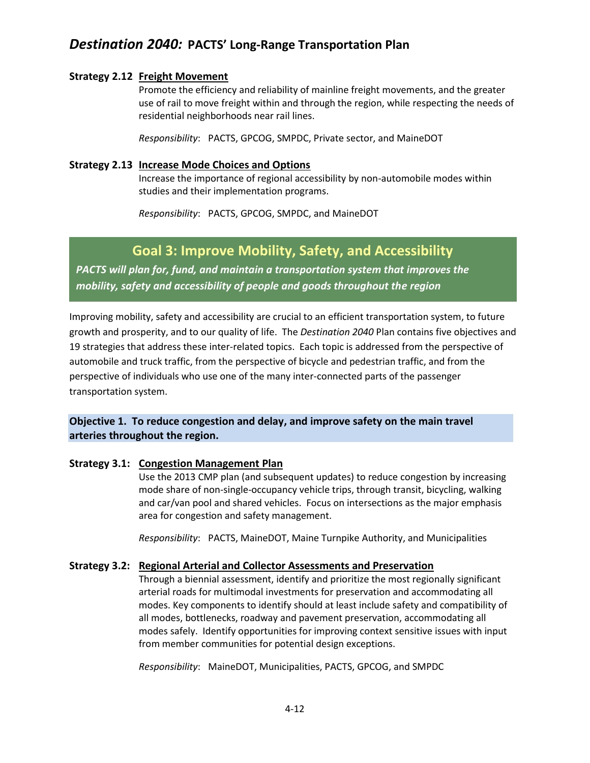### **Strategy 2.12 Freight Movement**

Promote the efficiency and reliability of mainline freight movements, and the greater use of rail to move freight within and through the region, while respecting the needs of residential neighborhoods near rail lines.

*Responsibility*: PACTS, GPCOG, SMPDC, Private sector, and MaineDOT

### **Strategy 2.13 Increase Mode Choices and Options**

Increase the importance of regional accessibility by non-automobile modes within studies and their implementation programs.

*Responsibility*: PACTS, GPCOG, SMPDC, and MaineDOT

## **Goal 3: Improve Mobility, Safety, and Accessibility**

*PACTS will plan for, fund, and maintain a transportation system that improves the mobility, safety and accessibility of people and goods throughout the region*

Improving mobility, safety and accessibility are crucial to an efficient transportation system, to future growth and prosperity, and to our quality of life. The *Destination 2040* Plan contains five objectives and 19 strategies that address these inter-related topics. Each topic is addressed from the perspective of automobile and truck traffic, from the perspective of bicycle and pedestrian traffic, and from the perspective of individuals who use one of the many inter-connected parts of the passenger transportation system.

### **Objective 1. To reduce congestion and delay, and improve safety on the main travel arteries throughout the region.**

### **Strategy 3.1: Congestion Management Plan**

Use the 2013 CMP plan (and subsequent updates) to reduce congestion by increasing mode share of non-single-occupancy vehicle trips, through transit, bicycling, walking and car/van pool and shared vehicles. Focus on intersections as the major emphasis area for congestion and safety management.

*Responsibility*: PACTS, MaineDOT, Maine Turnpike Authority, and Municipalities

### **Strategy 3.2: Regional Arterial and Collector Assessments and Preservation**

Through a biennial assessment, identify and prioritize the most regionally significant arterial roads for multimodal investments for preservation and accommodating all modes. Key components to identify should at least include safety and compatibility of all modes, bottlenecks, roadway and pavement preservation, accommodating all modes safely. Identify opportunities for improving context sensitive issues with input from member communities for potential design exceptions.

*Responsibility*: MaineDOT, Municipalities, PACTS, GPCOG, and SMPDC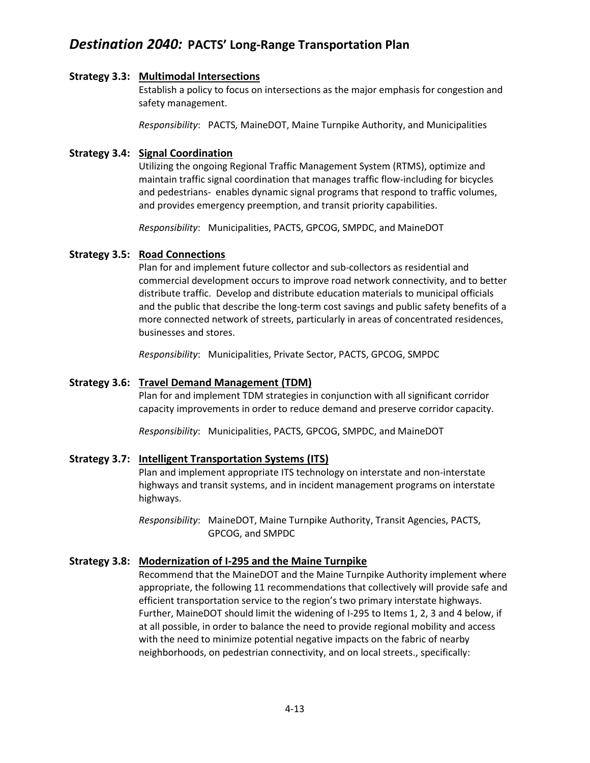### **Strategy 3.3: Multimodal Intersections**

Establish a policy to focus on intersections as the major emphasis for congestion and safety management.

*Responsibility*: PACTS*,* MaineDOT, Maine Turnpike Authority, and Municipalities

### **Strategy 3.4: Signal Coordination**

Utilizing the ongoing Regional Traffic Management System (RTMS), optimize and maintain traffic signal coordination that manages traffic flow-including for bicycles and pedestrians- enables dynamic signal programs that respond to traffic volumes, and provides emergency preemption, and transit priority capabilities.

*Responsibility*: Municipalities, PACTS, GPCOG, SMPDC, and MaineDOT

### **Strategy 3.5: Road Connections**

Plan for and implement future collector and sub-collectors as residential and commercial development occurs to improve road network connectivity, and to better distribute traffic. Develop and distribute education materials to municipal officials and the public that describe the long-term cost savings and public safety benefits of a more connected network of streets, particularly in areas of concentrated residences, businesses and stores.

*Responsibility*: Municipalities, Private Sector, PACTS, GPCOG, SMPDC

### **Strategy 3.6: Travel Demand Management (TDM)**

Plan for and implement TDM strategies in conjunction with all significant corridor capacity improvements in order to reduce demand and preserve corridor capacity.

*Responsibility*: Municipalities, PACTS, GPCOG, SMPDC, and MaineDOT

### **Strategy 3.7: Intelligent Transportation Systems (ITS)**

Plan and implement appropriate ITS technology on interstate and non-interstate highways and transit systems, and in incident management programs on interstate highways.

*Responsibility*: MaineDOT, Maine Turnpike Authority, Transit Agencies, PACTS, GPCOG, and SMPDC

### **Strategy 3.8: Modernization of I-295 and the Maine Turnpike**

Recommend that the MaineDOT and the Maine Turnpike Authority implement where appropriate, the following 11 recommendations that collectively will provide safe and efficient transportation service to the region's two primary interstate highways. Further, MaineDOT should limit the widening of I-295 to Items 1, 2, 3 and 4 below, if at all possible, in order to balance the need to provide regional mobility and access with the need to minimize potential negative impacts on the fabric of nearby neighborhoods, on pedestrian connectivity, and on local streets., specifically: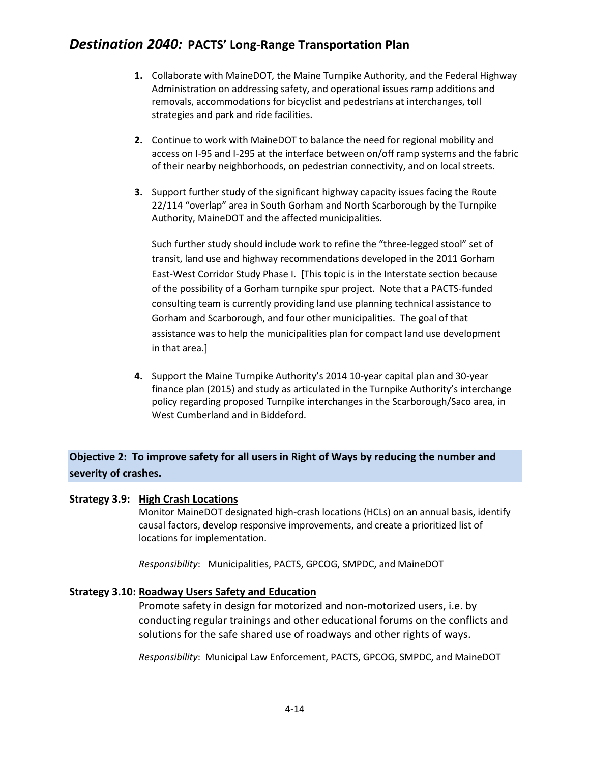- **1.** Collaborate with MaineDOT, the Maine Turnpike Authority, and the Federal Highway Administration on addressing safety, and operational issues ramp additions and removals, accommodations for bicyclist and pedestrians at interchanges, toll strategies and park and ride facilities.
- **2.** Continue to work with MaineDOT to balance the need for regional mobility and access on I-95 and I-295 at the interface between on/off ramp systems and the fabric of their nearby neighborhoods, on pedestrian connectivity, and on local streets.
- **3.** Support further study of the significant highway capacity issues facing the Route 22/114 "overlap" area in South Gorham and North Scarborough by the Turnpike Authority, MaineDOT and the affected municipalities.

Such further study should include work to refine the "three-legged stool" set of transit, land use and highway recommendations developed in the 2011 Gorham East-West Corridor Study Phase I. [This topic is in the Interstate section because of the possibility of a Gorham turnpike spur project. Note that a PACTS-funded consulting team is currently providing land use planning technical assistance to Gorham and Scarborough, and four other municipalities. The goal of that assistance was to help the municipalities plan for compact land use development in that area.]

**4.** Support the Maine Turnpike Authority's 2014 10-year capital plan and 30-year finance plan (2015) and study as articulated in the Turnpike Authority's interchange policy regarding proposed Turnpike interchanges in the Scarborough/Saco area, in West Cumberland and in Biddeford.

## **Objective 2: To improve safety for all users in Right of Ways by reducing the number and severity of crashes.**

### **Strategy 3.9: High Crash Locations**

Monitor MaineDOT designated high-crash locations (HCLs) on an annual basis, identify causal factors, develop responsive improvements, and create a prioritized list of locations for implementation.

*Responsibility*: Municipalities, PACTS, GPCOG, SMPDC, and MaineDOT

### **Strategy 3.10: Roadway Users Safety and Education**

Promote safety in design for motorized and non-motorized users, i.e. by conducting regular trainings and other educational forums on the conflicts and solutions for the safe shared use of roadways and other rights of ways.

*Responsibility*: Municipal Law Enforcement, PACTS, GPCOG, SMPDC, and MaineDOT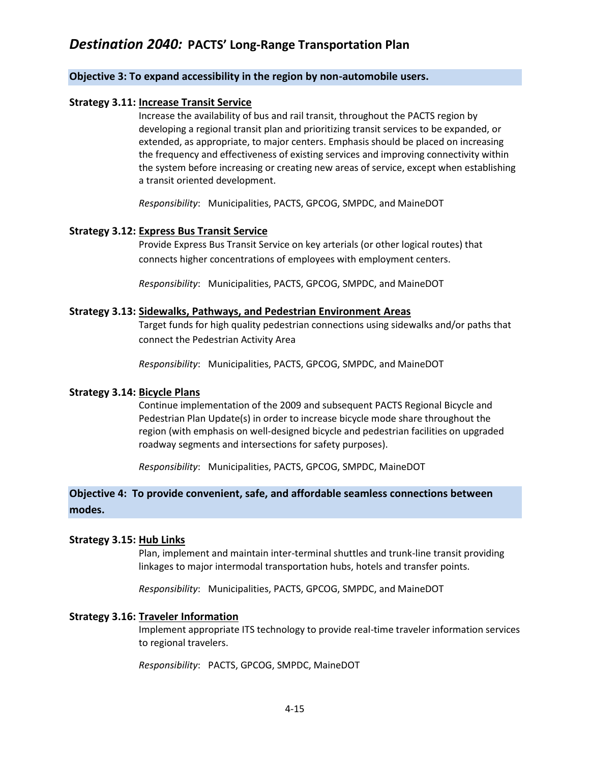### **Objective 3: To expand accessibility in the region by non-automobile users.**

### **Strategy 3.11: Increase Transit Service**

Increase the availability of bus and rail transit, throughout the PACTS region by developing a regional transit plan and prioritizing transit services to be expanded, or extended, as appropriate, to major centers. Emphasis should be placed on increasing the frequency and effectiveness of existing services and improving connectivity within the system before increasing or creating new areas of service, except when establishing a transit oriented development.

*Responsibility*: Municipalities, PACTS, GPCOG, SMPDC, and MaineDOT

### **Strategy 3.12: Express Bus Transit Service**

Provide Express Bus Transit Service on key arterials (or other logical routes) that connects higher concentrations of employees with employment centers.

*Responsibility*: Municipalities, PACTS, GPCOG, SMPDC, and MaineDOT

### **Strategy 3.13: Sidewalks, Pathways, and Pedestrian Environment Areas**

Target funds for high quality pedestrian connections using sidewalks and/or paths that connect the Pedestrian Activity Area

*Responsibility*: Municipalities, PACTS, GPCOG, SMPDC, and MaineDOT

### **Strategy 3.14: Bicycle Plans**

Continue implementation of the 2009 and subsequent PACTS Regional Bicycle and Pedestrian Plan Update(s) in order to increase bicycle mode share throughout the region (with emphasis on well-designed bicycle and pedestrian facilities on upgraded roadway segments and intersections for safety purposes).

*Responsibility*: Municipalities, PACTS, GPCOG, SMPDC, MaineDOT

### **Objective 4: To provide convenient, safe, and affordable seamless connections between modes.**

### **Strategy 3.15: Hub Links**

Plan, implement and maintain inter-terminal shuttles and trunk-line transit providing linkages to major intermodal transportation hubs, hotels and transfer points.

*Responsibility*: Municipalities, PACTS, GPCOG, SMPDC, and MaineDOT

### **Strategy 3.16: Traveler Information**

Implement appropriate ITS technology to provide real-time traveler information services to regional travelers.

*Responsibility*: PACTS, GPCOG, SMPDC, MaineDOT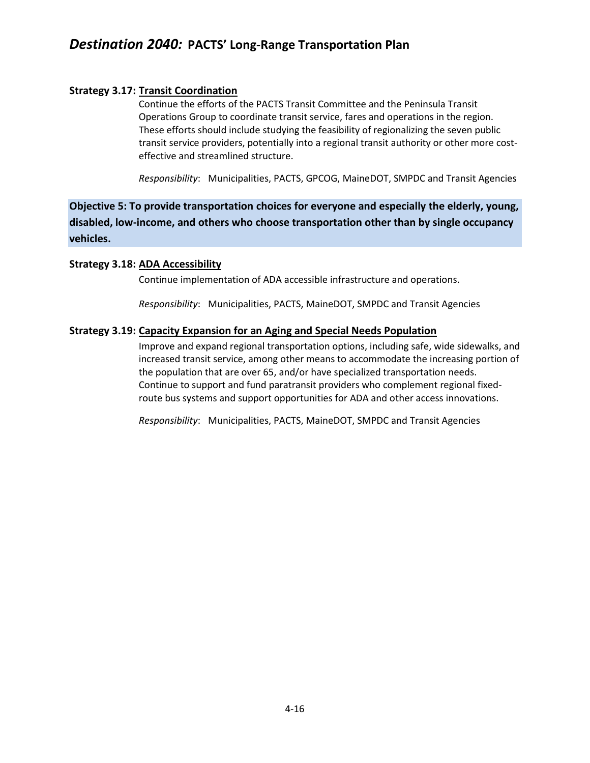### **Strategy 3.17: Transit Coordination**

Continue the efforts of the PACTS Transit Committee and the Peninsula Transit Operations Group to coordinate transit service, fares and operations in the region. These efforts should include studying the feasibility of regionalizing the seven public transit service providers, potentially into a regional transit authority or other more costeffective and streamlined structure.

*Responsibility*: Municipalities, PACTS, GPCOG, MaineDOT, SMPDC and Transit Agencies

**Objective 5: To provide transportation choices for everyone and especially the elderly, young, disabled, low-income, and others who choose transportation other than by single occupancy vehicles.**

### **Strategy 3.18: ADA Accessibility**

Continue implementation of ADA accessible infrastructure and operations.

*Responsibility*: Municipalities, PACTS, MaineDOT, SMPDC and Transit Agencies

### **Strategy 3.19: Capacity Expansion for an Aging and Special Needs Population**

Improve and expand regional transportation options, including safe, wide sidewalks, and increased transit service, among other means to accommodate the increasing portion of the population that are over 65, and/or have specialized transportation needs. Continue to support and fund paratransit providers who complement regional fixedroute bus systems and support opportunities for ADA and other access innovations.

*Responsibility*: Municipalities, PACTS, MaineDOT, SMPDC and Transit Agencies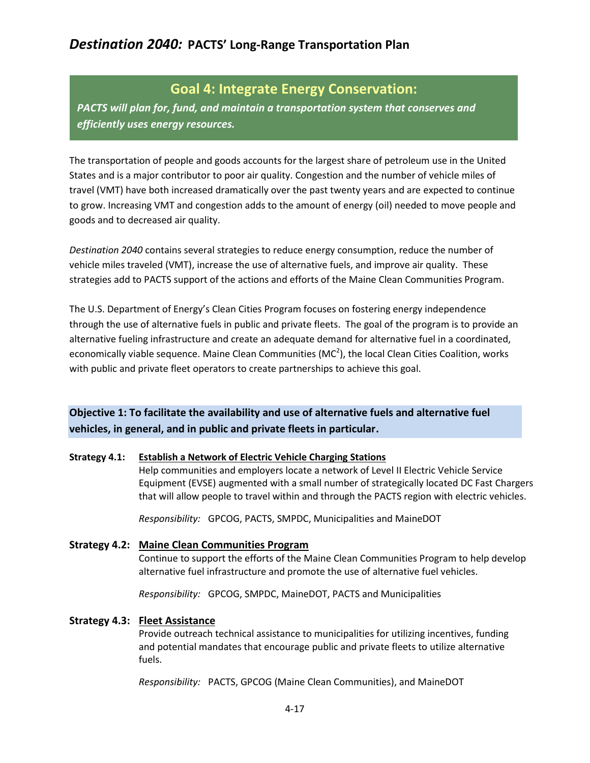## **Goal 4: Integrate Energy Conservation:**

*PACTS will plan for, fund, and maintain a transportation system that conserves and efficiently uses energy resources.*

The transportation of people and goods accounts for the largest share of petroleum use in the United States and is a major contributor to poor air quality. Congestion and the number of vehicle miles of travel (VMT) have both increased dramatically over the past twenty years and are expected to continue to grow. Increasing VMT and congestion adds to the amount of energy (oil) needed to move people and goods and to decreased air quality.

*Destination 2040* contains several strategies to reduce energy consumption, reduce the number of vehicle miles traveled (VMT), increase the use of alternative fuels, and improve air quality. These strategies add to PACTS support of the actions and efforts of the Maine Clean Communities Program.

The U.S. Department of Energy's Clean Cities Program focuses on fostering energy independence through the use of alternative fuels in public and private fleets. The goal of the program is to provide an alternative fueling infrastructure and create an adequate demand for alternative fuel in a coordinated, economically viable sequence. Maine Clean Communities (MC<sup>2</sup>), the local Clean Cities Coalition, works with public and private fleet operators to create partnerships to achieve this goal.

## **Objective 1: To facilitate the availability and use of alternative fuels and alternative fuel vehicles, in general, and in public and private fleets in particular.**

### **Strategy 4.1: Establish a Network of Electric Vehicle Charging Stations**

Help communities and employers locate a network of Level II Electric Vehicle Service Equipment (EVSE) augmented with a small number of strategically located DC Fast Chargers that will allow people to travel within and through the PACTS region with electric vehicles.

*Responsibility:* GPCOG, PACTS, SMPDC, Municipalities and MaineDOT

### **Strategy 4.2: Maine Clean Communities Program**

Continue to support the efforts of the Maine Clean Communities Program to help develop alternative fuel infrastructure and promote the use of alternative fuel vehicles.

*Responsibility:* GPCOG, SMPDC, MaineDOT, PACTS and Municipalities

### **Strategy 4.3: Fleet Assistance**

Provide outreach technical assistance to municipalities for utilizing incentives, funding and potential mandates that encourage public and private fleets to utilize alternative fuels.

*Responsibility:* PACTS, GPCOG (Maine Clean Communities), and MaineDOT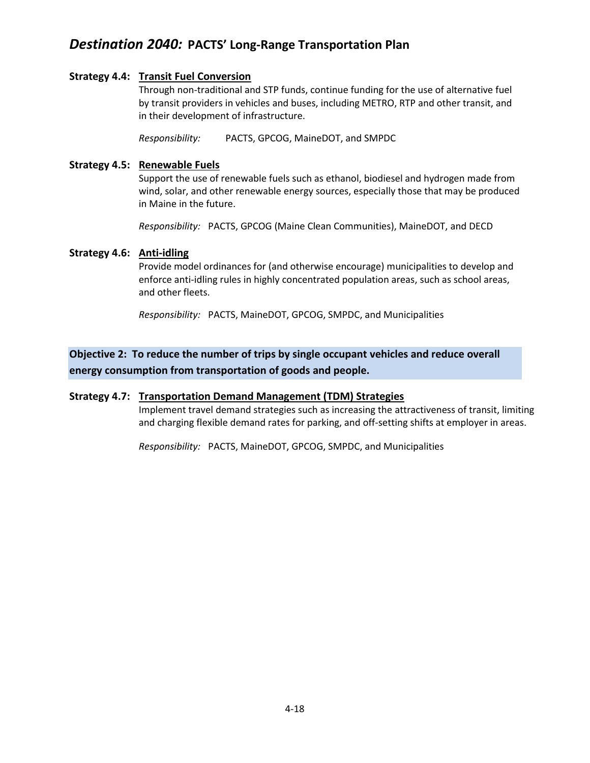### **Strategy 4.4: Transit Fuel Conversion**

Through non-traditional and STP funds, continue funding for the use of alternative fuel by transit providers in vehicles and buses, including METRO, RTP and other transit, and in their development of infrastructure.

*Responsibility:* PACTS, GPCOG, MaineDOT, and SMPDC

### **Strategy 4.5: Renewable Fuels**

Support the use of renewable fuels such as ethanol, biodiesel and hydrogen made from wind, solar, and other renewable energy sources, especially those that may be produced in Maine in the future.

*Responsibility:* PACTS, GPCOG (Maine Clean Communities), MaineDOT, and DECD

### **Strategy 4.6: Anti-idling**

Provide model ordinances for (and otherwise encourage) municipalities to develop and enforce anti-idling rules in highly concentrated population areas, such as school areas, and other fleets.

*Responsibility:* PACTS, MaineDOT, GPCOG, SMPDC, and Municipalities

**Objective 2: To reduce the number of trips by single occupant vehicles and reduce overall energy consumption from transportation of goods and people.** 

### **Strategy 4.7: Transportation Demand Management (TDM) Strategies**

Implement travel demand strategies such as increasing the attractiveness of transit, limiting and charging flexible demand rates for parking, and off-setting shifts at employer in areas.

*Responsibility:* PACTS, MaineDOT, GPCOG, SMPDC, and Municipalities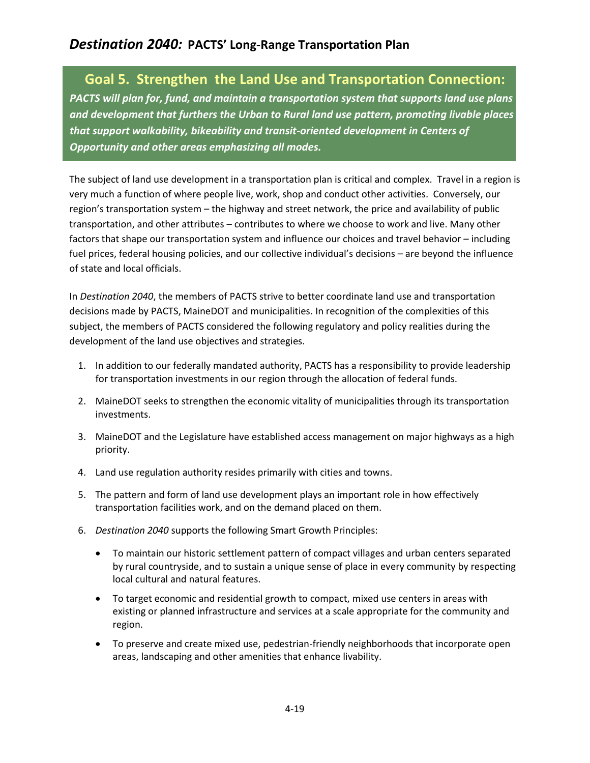# **Goal 5. Strengthen the Land Use and Transportation Connection:**

*PACTS will plan for, fund, and maintain a transportation system that supports land use plans and development that furthers the Urban to Rural land use pattern, promoting livable places that support walkability, bikeability and transit-oriented development in Centers of Opportunity and other areas emphasizing all modes.*

The subject of land use development in a transportation plan is critical and complex. Travel in a region is very much a function of where people live, work, shop and conduct other activities. Conversely, our region's transportation system – the highway and street network, the price and availability of public transportation, and other attributes – contributes to where we choose to work and live. Many other factors that shape our transportation system and influence our choices and travel behavior – including fuel prices, federal housing policies, and our collective individual's decisions – are beyond the influence of state and local officials.

In *Destination 2040*, the members of PACTS strive to better coordinate land use and transportation decisions made by PACTS, MaineDOT and municipalities. In recognition of the complexities of this subject, the members of PACTS considered the following regulatory and policy realities during the development of the land use objectives and strategies.

- 1. In addition to our federally mandated authority, PACTS has a responsibility to provide leadership for transportation investments in our region through the allocation of federal funds.
- 2. MaineDOT seeks to strengthen the economic vitality of municipalities through its transportation investments.
- 3. MaineDOT and the Legislature have established access management on major highways as a high priority.
- 4. Land use regulation authority resides primarily with cities and towns.
- 5. The pattern and form of land use development plays an important role in how effectively transportation facilities work, and on the demand placed on them.
- 6. *Destination 2040* supports the following Smart Growth Principles:
	- To maintain our historic settlement pattern of compact villages and urban centers separated by rural countryside, and to sustain a unique sense of place in every community by respecting local cultural and natural features.
	- To target economic and residential growth to compact, mixed use centers in areas with existing or planned infrastructure and services at a scale appropriate for the community and region.
	- To preserve and create mixed use, pedestrian-friendly neighborhoods that incorporate open areas, landscaping and other amenities that enhance livability.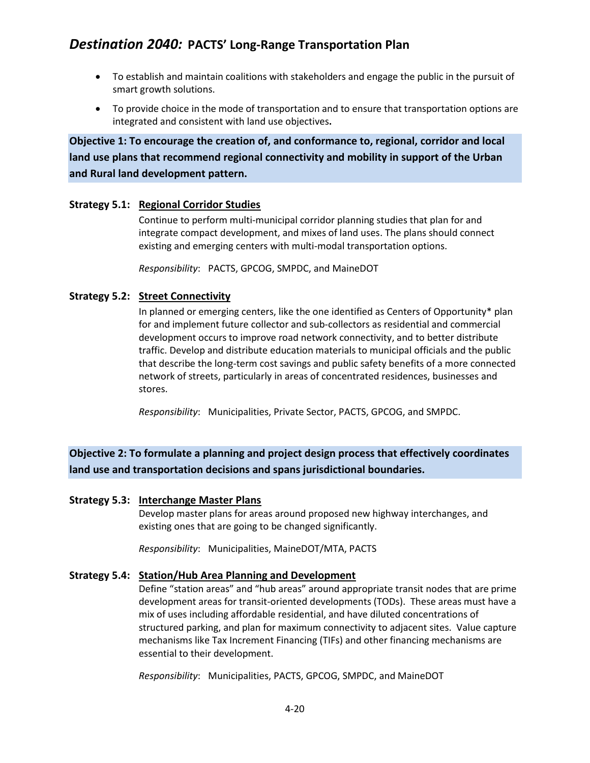- To establish and maintain coalitions with stakeholders and engage the public in the pursuit of smart growth solutions.
- To provide choice in the mode of transportation and to ensure that transportation options are integrated and consistent with land use objectives**.**

**Objective 1: To encourage the creation of, and conformance to, regional, corridor and local land use plans that recommend regional connectivity and mobility in support of the Urban and Rural land development pattern.**

### **Strategy 5.1: Regional Corridor Studies**

Continue to perform multi-municipal corridor planning studies that plan for and integrate compact development, and mixes of land uses. The plans should connect existing and emerging centers with multi-modal transportation options.

*Responsibility*: PACTS, GPCOG, SMPDC, and MaineDOT

### **Strategy 5.2: Street Connectivity**

In planned or emerging centers, like the one identified as Centers of Opportunity\* plan for and implement future collector and sub-collectors as residential and commercial development occurs to improve road network connectivity, and to better distribute traffic. Develop and distribute education materials to municipal officials and the public that describe the long-term cost savings and public safety benefits of a more connected network of streets, particularly in areas of concentrated residences, businesses and stores.

*Responsibility*: Municipalities, Private Sector, PACTS, GPCOG, and SMPDC.

## **Objective 2: To formulate a planning and project design process that effectively coordinates land use and transportation decisions and spans jurisdictional boundaries.**

### **Strategy 5.3: Interchange Master Plans**

Develop master plans for areas around proposed new highway interchanges, and existing ones that are going to be changed significantly.

*Responsibility*: Municipalities, MaineDOT/MTA, PACTS

### **Strategy 5.4: Station/Hub Area Planning and Development**

Define "station areas" and "hub areas" around appropriate transit nodes that are prime development areas for transit-oriented developments (TODs). These areas must have a mix of uses including affordable residential, and have diluted concentrations of structured parking, and plan for maximum connectivity to adjacent sites. Value capture mechanisms like Tax Increment Financing (TIFs) and other financing mechanisms are essential to their development.

*Responsibility*: Municipalities, PACTS, GPCOG, SMPDC, and MaineDOT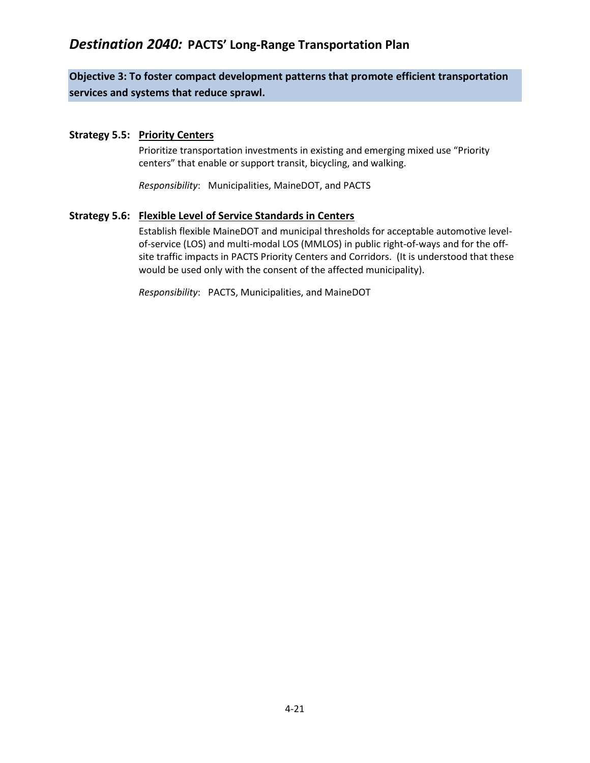## **Objective 3: To foster compact development patterns that promote efficient transportation services and systems that reduce sprawl.**

### **Strategy 5.5: Priority Centers**

Prioritize transportation investments in existing and emerging mixed use "Priority centers" that enable or support transit, bicycling, and walking.

*Responsibility*: Municipalities, MaineDOT, and PACTS

### **Strategy 5.6: Flexible Level of Service Standards in Centers**

Establish flexible MaineDOT and municipal thresholds for acceptable automotive levelof-service (LOS) and multi-modal LOS (MMLOS) in public right-of-ways and for the offsite traffic impacts in PACTS Priority Centers and Corridors. (It is understood that these would be used only with the consent of the affected municipality).

*Responsibility*: PACTS, Municipalities, and MaineDOT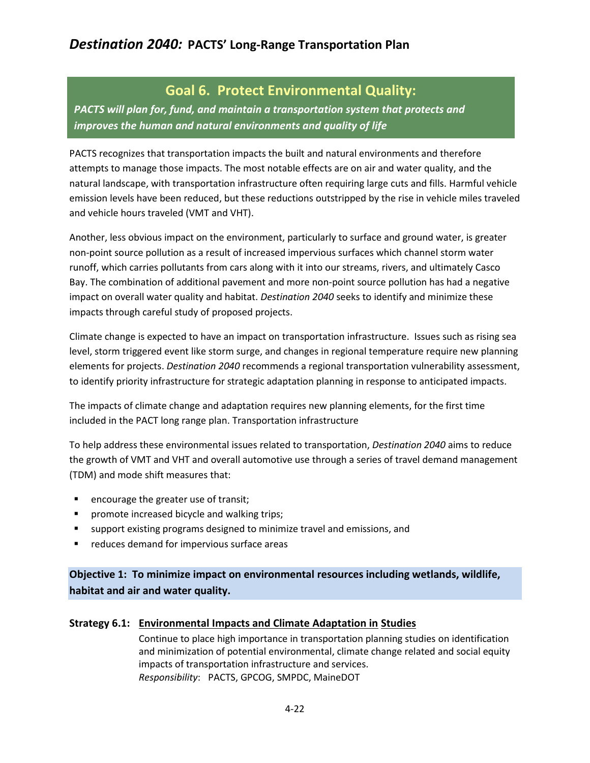# **Goal 6. Protect Environmental Quality:**

*PACTS will plan for, fund, and maintain a transportation system that protects and improves the human and natural environments and quality of life*

PACTS recognizes that transportation impacts the built and natural environments and therefore attempts to manage those impacts. The most notable effects are on air and water quality, and the natural landscape, with transportation infrastructure often requiring large cuts and fills. Harmful vehicle emission levels have been reduced, but these reductions outstripped by the rise in vehicle miles traveled and vehicle hours traveled (VMT and VHT).

Another, less obvious impact on the environment, particularly to surface and ground water, is greater non-point source pollution as a result of increased impervious surfaces which channel storm water runoff, which carries pollutants from cars along with it into our streams, rivers, and ultimately Casco Bay. The combination of additional pavement and more non-point source pollution has had a negative impact on overall water quality and habitat. *Destination 2040* seeks to identify and minimize these impacts through careful study of proposed projects.

Climate change is expected to have an impact on transportation infrastructure. Issues such as rising sea level, storm triggered event like storm surge, and changes in regional temperature require new planning elements for projects. *Destination 2040* recommends a regional transportation vulnerability assessment, to identify priority infrastructure for strategic adaptation planning in response to anticipated impacts.

The impacts of climate change and adaptation requires new planning elements, for the first time included in the PACT long range plan. Transportation infrastructure

To help address these environmental issues related to transportation, *Destination 2040* aims to reduce the growth of VMT and VHT and overall automotive use through a series of travel demand management (TDM) and mode shift measures that:

- **EXE** encourage the greater use of transit;
- **P** promote increased bicycle and walking trips;
- support existing programs designed to minimize travel and emissions, and
- **•** reduces demand for impervious surface areas

**Objective 1: To minimize impact on environmental resources including wetlands, wildlife, habitat and air and water quality.**

### **Strategy 6.1: Environmental Impacts and Climate Adaptation in Studies**

Continue to place high importance in transportation planning studies on identification and minimization of potential environmental, climate change related and social equity impacts of transportation infrastructure and services. *Responsibility*: PACTS, GPCOG, SMPDC, MaineDOT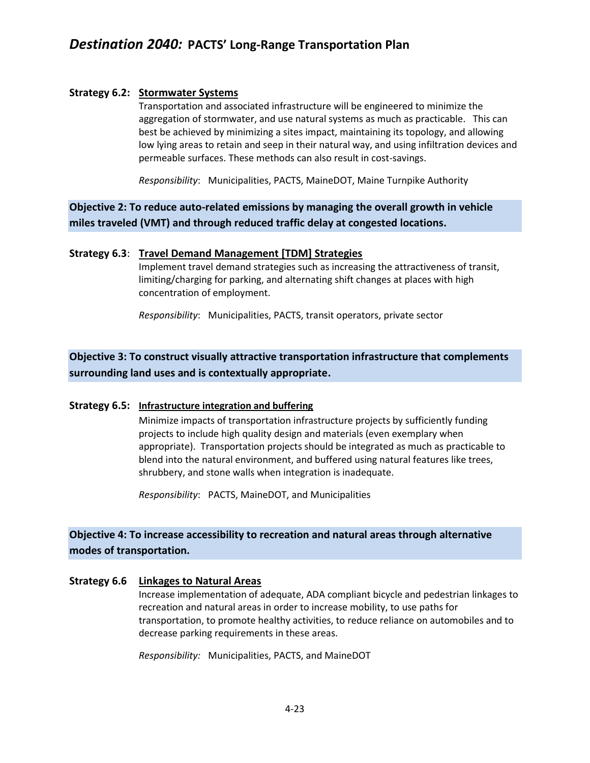### **Strategy 6.2: Stormwater Systems**

Transportation and associated infrastructure will be engineered to minimize the aggregation of stormwater, and use natural systems as much as practicable. This can best be achieved by minimizing a sites impact, maintaining its topology, and allowing low lying areas to retain and seep in their natural way, and using infiltration devices and permeable surfaces. These methods can also result in cost-savings.

*Responsibility*: Municipalities, PACTS, MaineDOT, Maine Turnpike Authority

**Objective 2: To reduce auto-related emissions by managing the overall growth in vehicle miles traveled (VMT) and through reduced traffic delay at congested locations.**

### **Strategy 6.3**: **Travel Demand Management [TDM] Strategies**

Implement travel demand strategies such as increasing the attractiveness of transit, limiting/charging for parking, and alternating shift changes at places with high concentration of employment.

*Responsibility*: Municipalities, PACTS, transit operators, private sector

## **Objective 3: To construct visually attractive transportation infrastructure that complements surrounding land uses and is contextually appropriate.**

### **Strategy 6.5: Infrastructure integration and buffering**

Minimize impacts of transportation infrastructure projects by sufficiently funding projects to include high quality design and materials (even exemplary when appropriate). Transportation projects should be integrated as much as practicable to blend into the natural environment, and buffered using natural features like trees, shrubbery, and stone walls when integration is inadequate.

*Responsibility*: PACTS, MaineDOT, and Municipalities

### **Objective 4: To increase accessibility to recreation and natural areas through alternative modes of transportation.**

### **Strategy 6.6 Linkages to Natural Areas**

Increase implementation of adequate, ADA compliant bicycle and pedestrian linkages to recreation and natural areas in order to increase mobility, to use paths for transportation, to promote healthy activities, to reduce reliance on automobiles and to decrease parking requirements in these areas.

*Responsibility:* Municipalities, PACTS, and MaineDOT